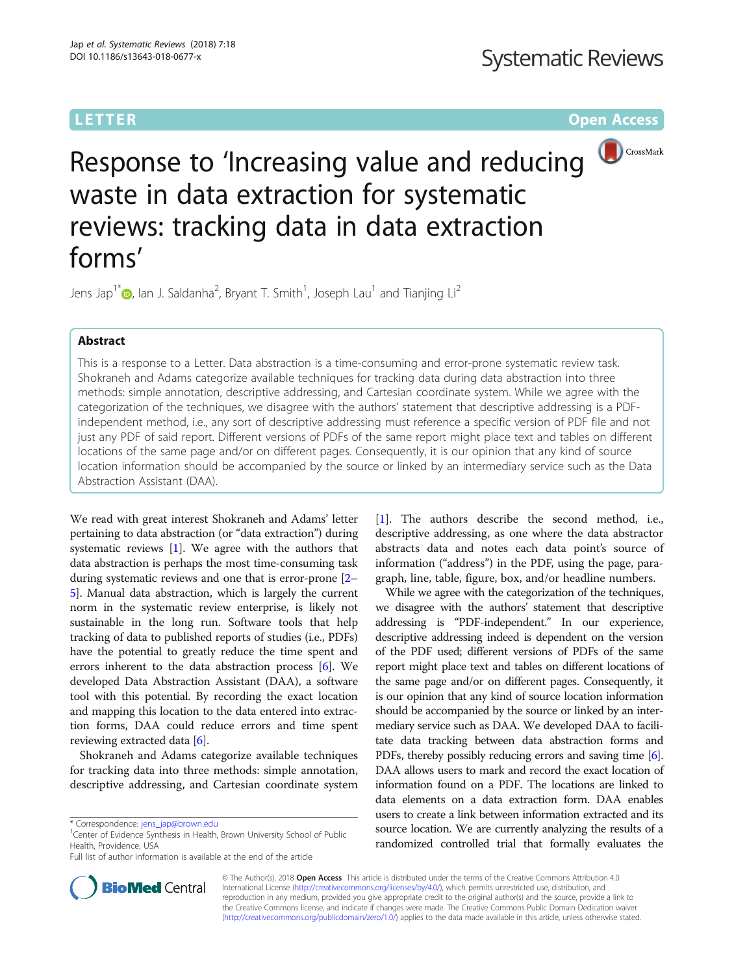# **LETTER CONSTRUCTION CONSTRUCTER CONSTRUCTER CONSTRUCTER CONSTRUCTER CONSTRUCTER**



Response to 'Increasing value and reducing waste in data extraction for systematic reviews: tracking data in data extraction forms'

Jens Jap<sup>1[\\*](http://orcid.org/0000-0003-4625-683X)</sup>�, Ian J. Saldanha<sup>2</sup>, Bryant T. Smith<sup>1</sup>, Joseph Lau<sup>1</sup> and Tianjing Li<sup>2</sup>

# Abstract

This is a response to a Letter. Data abstraction is a time-consuming and error-prone systematic review task. Shokraneh and Adams categorize available techniques for tracking data during data abstraction into three methods: simple annotation, descriptive addressing, and Cartesian coordinate system. While we agree with the categorization of the techniques, we disagree with the authors' statement that descriptive addressing is a PDFindependent method, i.e., any sort of descriptive addressing must reference a specific version of PDF file and not just any PDF of said report. Different versions of PDFs of the same report might place text and tables on different locations of the same page and/or on different pages. Consequently, it is our opinion that any kind of source location information should be accompanied by the source or linked by an intermediary service such as the Data Abstraction Assistant (DAA).

We read with great interest Shokraneh and Adams' letter pertaining to data abstraction (or "data extraction") during systematic reviews [\[1](#page-1-0)]. We agree with the authors that data abstraction is perhaps the most time-consuming task during systematic reviews and one that is error-prone [[2](#page-1-0)– [5\]](#page-1-0). Manual data abstraction, which is largely the current norm in the systematic review enterprise, is likely not sustainable in the long run. Software tools that help tracking of data to published reports of studies (i.e., PDFs) have the potential to greatly reduce the time spent and errors inherent to the data abstraction process [[6](#page-1-0)]. We developed Data Abstraction Assistant (DAA), a software tool with this potential. By recording the exact location and mapping this location to the data entered into extraction forms, DAA could reduce errors and time spent reviewing extracted data [[6\]](#page-1-0).

Shokraneh and Adams categorize available techniques for tracking data into three methods: simple annotation, descriptive addressing, and Cartesian coordinate system

Center of Evidence Synthesis in Health, Brown University School of Public Health, Providence, USA

[[1\]](#page-1-0). The authors describe the second method, i.e., descriptive addressing, as one where the data abstractor abstracts data and notes each data point's source of information ("address") in the PDF, using the page, paragraph, line, table, figure, box, and/or headline numbers.

While we agree with the categorization of the techniques, we disagree with the authors' statement that descriptive addressing is "PDF-independent." In our experience, descriptive addressing indeed is dependent on the version of the PDF used; different versions of PDFs of the same report might place text and tables on different locations of the same page and/or on different pages. Consequently, it is our opinion that any kind of source location information should be accompanied by the source or linked by an intermediary service such as DAA. We developed DAA to facilitate data tracking between data abstraction forms and PDFs, thereby possibly reducing errors and saving time  $[6]$  $[6]$  $[6]$ . DAA allows users to mark and record the exact location of information found on a PDF. The locations are linked to data elements on a data extraction form. DAA enables users to create a link between information extracted and its source location. We are currently analyzing the results of a randomized controlled trial that formally evaluates the



© The Author(s). 2018 Open Access This article is distributed under the terms of the Creative Commons Attribution 4.0 International License [\(http://creativecommons.org/licenses/by/4.0/](http://creativecommons.org/licenses/by/4.0/)), which permits unrestricted use, distribution, and reproduction in any medium, provided you give appropriate credit to the original author(s) and the source, provide a link to the Creative Commons license, and indicate if changes were made. The Creative Commons Public Domain Dedication waiver [\(http://creativecommons.org/publicdomain/zero/1.0/](http://creativecommons.org/publicdomain/zero/1.0/)) applies to the data made available in this article, unless otherwise stated.

<sup>\*</sup> Correspondence: [jens\\_jap@brown.edu](mailto:jens_jap@brown.edu) <sup>1</sup>

Full list of author information is available at the end of the article